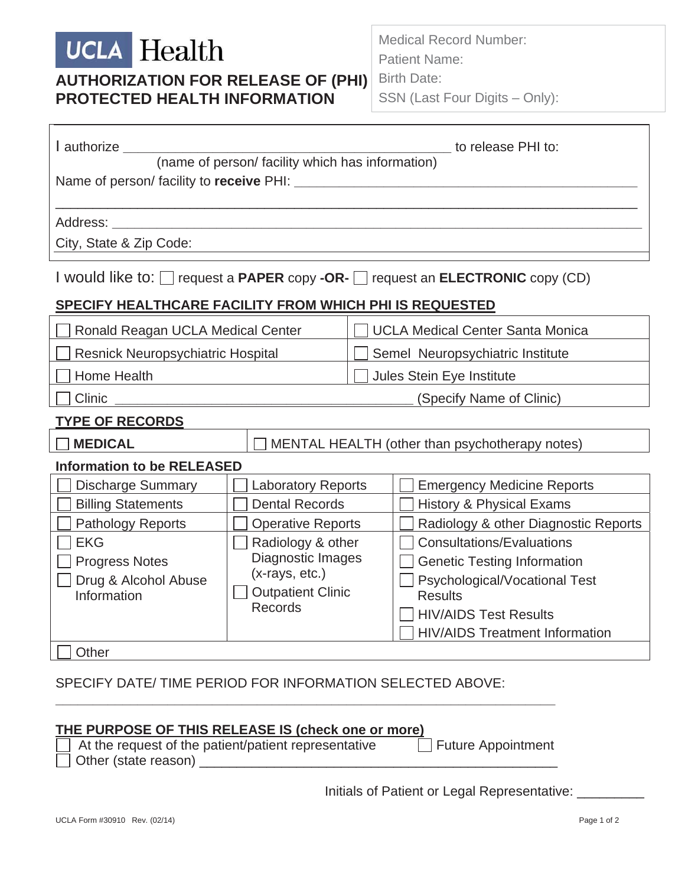# **UCLA** Health **AUTHORIZATION FOR RELEASE OF (PHI) PROTECTED HEALTH INFORMATION**

Medical Record Number: Patient Name: Birth Date:

SSN (Last Four Digits – Only):

| l authorize _______                                                                                                                            |                                                | to release PHI to:                      |  |  |  |  |  |
|------------------------------------------------------------------------------------------------------------------------------------------------|------------------------------------------------|-----------------------------------------|--|--|--|--|--|
| (name of person/ facility which has information)                                                                                               |                                                |                                         |  |  |  |  |  |
| Name of person/facility to receive PHI: Name of person/facility to receive PHI:                                                                |                                                |                                         |  |  |  |  |  |
|                                                                                                                                                |                                                |                                         |  |  |  |  |  |
| Address: ____________<br><u> 1989 - Johann Harry Barn, mars ar breithinn ar breithinn ar breithinn ar breithinn ar breithinn ar breithinn </u> |                                                |                                         |  |  |  |  |  |
| City, State & Zip Code:                                                                                                                        |                                                |                                         |  |  |  |  |  |
|                                                                                                                                                |                                                |                                         |  |  |  |  |  |
| I would like to: $\Box$ request a PAPER copy -OR- $\Box$ request an ELECTRONIC copy (CD)                                                       |                                                |                                         |  |  |  |  |  |
| SPECIFY HEALTHCARE FACILITY FROM WHICH PHI IS REQUESTED                                                                                        |                                                |                                         |  |  |  |  |  |
| Ronald Reagan UCLA Medical Center                                                                                                              |                                                | <b>UCLA Medical Center Santa Monica</b> |  |  |  |  |  |
| <b>Resnick Neuropsychiatric Hospital</b>                                                                                                       |                                                | Semel Neuropsychiatric Institute        |  |  |  |  |  |
| Home Health                                                                                                                                    |                                                | Jules Stein Eye Institute               |  |  |  |  |  |
| <b>Clinic</b>                                                                                                                                  |                                                | (Specify Name of Clinic)                |  |  |  |  |  |
| <b>TYPE OF RECORDS</b>                                                                                                                         |                                                |                                         |  |  |  |  |  |
| <b>MEDICAL</b>                                                                                                                                 | MENTAL HEALTH (other than psychotherapy notes) |                                         |  |  |  |  |  |
| <b>Information to be RELEASED</b>                                                                                                              |                                                |                                         |  |  |  |  |  |
| <b>Discharge Summary</b>                                                                                                                       | <b>Laboratory Reports</b>                      | <b>Emergency Medicine Reports</b>       |  |  |  |  |  |
| <b>Billing Statements</b>                                                                                                                      | <b>Dental Records</b>                          | <b>History &amp; Physical Exams</b>     |  |  |  |  |  |
| Pathology Reports                                                                                                                              | <b>Operative Reports</b>                       | Radiology & other Diagnostic Reports    |  |  |  |  |  |
| <b>EKG</b>                                                                                                                                     | Radiology & other                              | <b>Consultations/Evaluations</b>        |  |  |  |  |  |
| <b>Progress Notes</b>                                                                                                                          | Diagnostic Images                              | <b>Genetic Testing Information</b>      |  |  |  |  |  |
| Drug & Alcohol Abuse                                                                                                                           | $(x-rays, etc.)$                               | Psychological/Vocational Test           |  |  |  |  |  |
| Information                                                                                                                                    | <b>Outpatient Clinic</b>                       | <b>Results</b>                          |  |  |  |  |  |
|                                                                                                                                                | <b>Records</b>                                 | <b>HIV/AIDS Test Results</b>            |  |  |  |  |  |
|                                                                                                                                                |                                                | <b>HIV/AIDS Treatment Information</b>   |  |  |  |  |  |
| Other                                                                                                                                          |                                                |                                         |  |  |  |  |  |

#### SPECIFY DATE/ TIME PERIOD FOR INFORMATION SELECTED ABOVE:

**\_\_\_\_\_\_\_\_\_\_\_\_\_\_\_\_\_\_\_\_\_\_\_\_\_\_\_\_\_\_\_\_\_\_\_\_\_\_\_\_\_\_\_\_\_\_\_\_\_\_\_\_\_\_\_\_\_\_\_\_\_\_\_\_\_\_\_**

# **THE PURPOSE OF THIS RELEASE IS (check one or more)**

| At the request of the patient/patient representative | $\Box$ Future Appointment |
|------------------------------------------------------|---------------------------|
| Other (state reason)                                 |                           |

Initials of Patient or Legal Representative: